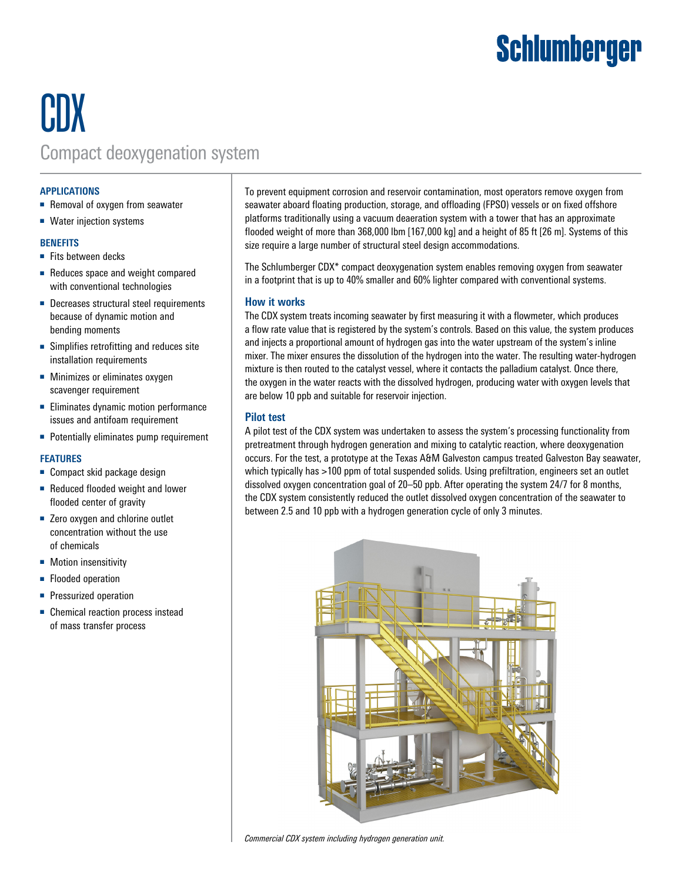# **Schlumberger**

## CDX Compact deoxygenation system

#### **APPLICATIONS**

- Removal of oxygen from seawater
- Water injection systems

#### **BENEFITS**

- Fits between decks
- Reduces space and weight compared with conventional technologies
- Decreases structural steel requirements because of dynamic motion and bending moments
- Simplifies retrofitting and reduces site installation requirements
- Minimizes or eliminates oxygen scavenger requirement
- Eliminates dynamic motion performance issues and antifoam requirement
- Potentially eliminates pump requirement

#### **FEATURES**

- Compact skid package design
- Reduced flooded weight and lower flooded center of gravity
- Zero oxygen and chlorine outlet concentration without the use of chemicals
- Motion insensitivity
- Flooded operation
- Pressurized operation
- Chemical reaction process instead of mass transfer process

To prevent equipment corrosion and reservoir contamination, most operators remove oxygen from seawater aboard floating production, storage, and offloading (FPSO) vessels or on fixed offshore platforms traditionally using a vacuum deaeration system with a tower that has an approximate flooded weight of more than 368,000 lbm [167,000 kg] and a height of 85 ft [26 m]. Systems of this size require a large number of structural steel design accommodations.

The Schlumberger CDX\* compact deoxygenation system enables removing oxygen from seawater in a footprint that is up to 40% smaller and 60% lighter compared with conventional systems.

#### **How it works**

The CDX system treats incoming seawater by first measuring it with a flowmeter, which produces a flow rate value that is registered by the system's controls. Based on this value, the system produces and injects a proportional amount of hydrogen gas into the water upstream of the system's inline mixer. The mixer ensures the dissolution of the hydrogen into the water. The resulting water-hydrogen mixture is then routed to the catalyst vessel, where it contacts the palladium catalyst. Once there, the oxygen in the water reacts with the dissolved hydrogen, producing water with oxygen levels that are below 10 ppb and suitable for reservoir injection.

#### **Pilot test**

A pilot test of the CDX system was undertaken to assess the system's processing functionality from pretreatment through hydrogen generation and mixing to catalytic reaction, where deoxygenation occurs. For the test, a prototype at the Texas A&M Galveston campus treated Galveston Bay seawater, which typically has >100 ppm of total suspended solids. Using prefiltration, engineers set an outlet dissolved oxygen concentration goal of 20–50 ppb. After operating the system 24/7 for 8 months, the CDX system consistently reduced the outlet dissolved oxygen concentration of the seawater to between 2.5 and 10 ppb with a hydrogen generation cycle of only 3 minutes.



*Commercial CDX system including hydrogen generation unit.*